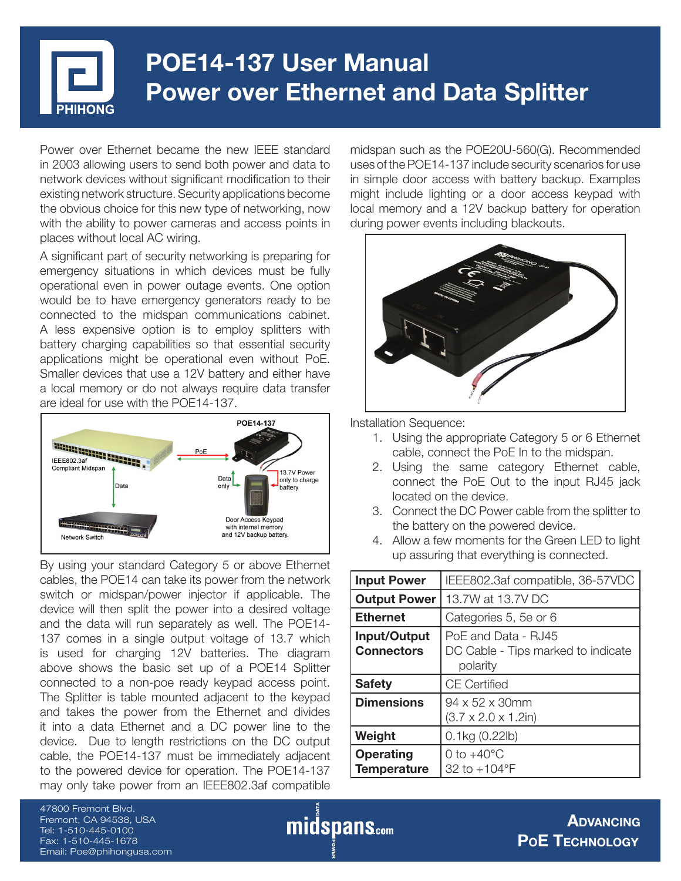# **POE14-137 User Manual Power over Ethernet and Data Splitter**

Power over Ethernet became the new IEEE standard in 2003 allowing users to send both power and data to network devices without significant modification to their existing network structure. Security applications become the obvious choice for this new type of networking, now with the ability to power cameras and access points in places without local AC wiring.

A significant part of security networking is preparing for emergency situations in which devices must be fully operational even in power outage events. One option would be to have emergency generators ready to be connected to the midspan communications cabinet. A less expensive option is to employ splitters with battery charging capabilities so that essential security applications might be operational even without PoE. Smaller devices that use a 12V battery and either have a local memory or do not always require data transfer are ideal for use with the POE14-137.



By using your standard Category 5 or above Ethernet cables, the POE14 can take its power from the network switch or midspan/power injector if applicable. The device will then split the power into a desired voltage and the data will run separately as well. The POE14- 137 comes in a single output voltage of 13.7 which is used for charging 12V batteries. The diagram above shows the basic set up of a POE14 Splitter connected to a non-poe ready keypad access point. The Splitter is table mounted adjacent to the keypad and takes the power from the Ethernet and divides it into a data Ethernet and a DC power line to the device. Due to length restrictions on the DC output cable, the POE14-137 must be immediately adjacent to the powered device for operation. The POE14-137 may only take power from an IEEE802.3af compatible

midspan such as the POE20U-560(G). Recommended uses of the POE14-137 include security scenarios for use in simple door access with battery backup. Examples might include lighting or a door access keypad with local memory and a 12V backup battery for operation during power events including blackouts.



Installation Sequence:

- 1. Using the appropriate Category 5 or 6 Ethernet cable, connect the PoE In to the midspan.
- 2. Using the same category Ethernet cable, connect the PoE Out to the input RJ45 jack located on the device.
- 3. Connect the DC Power cable from the splitter to the battery on the powered device.
- 4. Allow a few moments for the Green LED to light up assuring that everything is connected.

| <b>Input Power</b>                     | IEEE802.3af compatible, 36-57VDC                                      |
|----------------------------------------|-----------------------------------------------------------------------|
| <b>Output Power</b>                    | 13.7W at 13.7V DC                                                     |
| <b>Ethernet</b>                        | Categories 5, 5e or 6                                                 |
| Input/Output<br><b>Connectors</b>      | PoE and Data - RJ45<br>DC Cable - Tips marked to indicate<br>polarity |
| <b>Safety</b>                          | <b>CE Certified</b>                                                   |
| <b>Dimensions</b>                      | $94 \times 52 \times 30$ mm<br>(3.7 x 2.0 x 1.2in)                    |
| Weight                                 | $0.1$ kg $(0.22$ lb)                                                  |
| <b>Operating</b><br><b>Temperature</b> | 0 to $+40^{\circ}$ C<br>32 to +104°F                                  |

47800 Fremont Blvd. Fremont, CA 94538, USA Tel: 1-510-445-0100 Fax: 1-510-445-1678 Email: Poe@phihongusa.com

midspans.com